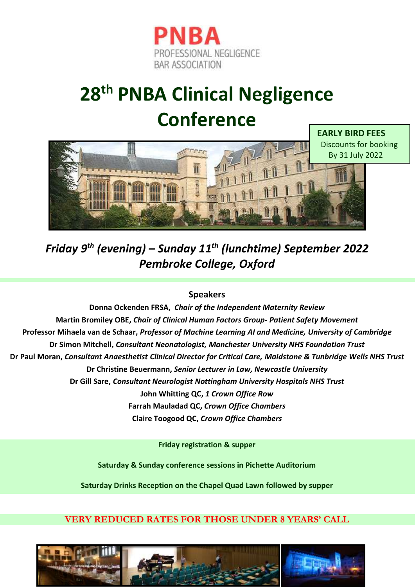

## **28 th PNBA Clinical Negligence Conference**



*Friday 9 th (evening) – Sunday 11 th (lunchtime) September 2022 Pembroke College, Oxford*

## **Speakers**

**Donna Ockenden FRSA,** *Chair of the Independent Maternity Review* **Martin Bromiley OBE,** *Chair of Clinical Human Factors Group- Patient Safety Movement* **Professor Mihaela van de Schaar,** *Professor of Machine Learning AI and Medicine, University of Cambridge* **Dr Simon Mitchell,** *Consultant Neonatologist, Manchester University NHS Foundation Trust* **Dr Paul Moran,** *Consultant Anaesthetist Clinical Director for Critical Care, Maidstone & Tunbridge Wells NHS Trust* **Dr Christine Beuermann,** *Senior Lecturer in Law, Newcastle University* **Dr Gill Sare,** *Consultant Neurologist Nottingham University Hospitals NHS Trust* **John Whitting QC,** *1 Crown Office Row* **Farrah Mauladad QC,** *Crown Office Chambers* **Claire Toogood QC,** *Crown Office Chambers*

**Friday registration & supper**

**Saturday & Sunday conference sessions in Pichette Auditorium**

**Saturday Drinks Reception on the Chapel Quad Lawn followed by supper**

## **VERY REDUCED RATES FOR THOSE UNDER 8 YEARS' CALL**